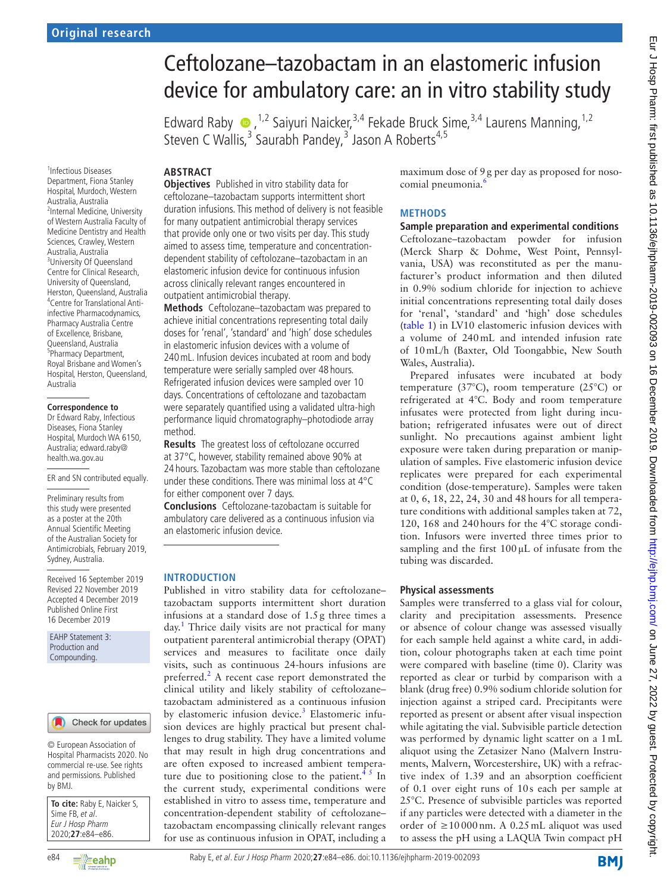# Ceftolozane–tazobactam in an elastomeric infusion device for ambulatory care: an in vitro stability study

EdwardRaby  $\bullet$ , <sup>1,2</sup> Saiyuri Naicker, <sup>3,4</sup> Fekade Bruck Sime, <sup>3,4</sup> Laurens Manning, <sup>1,2</sup> Steven C Wallis,<sup>3</sup> Saurabh Pandey,<sup>3</sup> Jason A Roberts<sup>4,5</sup>

# **Abstract**

1 Infectious Diseases Department, Fiona Stanley Hospital, Murdoch, Western Australia, Australia <sup>2</sup>Internal Medicine, University of Western Australia Faculty of Medicine Dentistry and Health Sciences, Crawley, Western Australia, Australia <sup>3</sup>University Of Queensland Centre for Clinical Research, University of Queensland, Herston, Queensland, Australia 4 Centre for Translational Antiinfective Pharmacodynamics, Pharmacy Australia Centre of Excellence, Brisbane, Queensland, Australia 5 Pharmacy Department, Royal Brisbane and Women's Hospital, Herston, Queensland, Australia

#### **Correspondence to**

Dr Edward Raby, Infectious Diseases, Fiona Stanley Hospital, Murdoch WA 6150, Australia; edward.raby@ health.wa.gov.au

ER and SN contributed equally.

Preliminary results from this study were presented as a poster at the 20th Annual Scientific Meeting of the Australian Society for Antimicrobials, February 2019, Sydney, Australia.

Received 16 September 2019 Revised 22 November 2019 Accepted 4 December 2019 Published Online First 16 December 2019

EAHP Statement 3: Production and Compounding.

## Check for updates

© European Association of Hospital Pharmacists 2020. No commercial re-use. See rights and permissions. Published by BMJ.

| To cite: Raby E, Naicker S, |
|-----------------------------|
| Sime FB, et al.             |
| Eur J Hosp Pharm            |
| 2020;27:e84-e86.            |

**Objectives** Published in vitro stability data for ceftolozane–tazobactam supports intermittent short duration infusions. This method of delivery is not feasible for many outpatient antimicrobial therapy services that provide only one or two visits per day. This study aimed to assess time, temperature and concentrationdependent stability of ceftolozane–tazobactam in an elastomeric infusion device for continuous infusion across clinically relevant ranges encountered in outpatient antimicrobial therapy.

**Methods** Ceftolozane–tazobactam was prepared to achieve initial concentrations representing total daily doses for 'renal', 'standard' and 'high' dose schedules in elastomeric infusion devices with a volume of 240mL. Infusion devices incubated at room and body temperature were serially sampled over 48 hours. Refrigerated infusion devices were sampled over 10 days. Concentrations of ceftolozane and tazobactam were separately quantified using a validated ultra-high performance liquid chromatography–photodiode array method.

**Results** The greatest loss of ceftolozane occurred at 37°C, however, stability remained above 90% at 24 hours. Tazobactam was more stable than ceftolozane under these conditions. There was minimal loss at 4°C for either component over 7 days.

**Conclusions** Ceftolozane-tazobactam is suitable for ambulatory care delivered as a continuous infusion via an elastomeric infusion device.

# **Introduction**

Published in vitro stability data for ceftolozane– tazobactam supports intermittent short duration infusions at a standard dose of 1.5g three times a day.<sup>[1](#page-2-0)</sup> Thrice daily visits are not practical for many outpatient parenteral antimicrobial therapy (OPAT) services and measures to facilitate once daily visits, such as continuous 24-hours infusions are preferred.<sup>[2](#page-2-1)</sup> A recent case report demonstrated the clinical utility and likely stability of ceftolozane– tazobactam administered as a continuous infusion by elastomeric infusion device.<sup>3</sup> Elastomeric infusion devices are highly practical but present challenges to drug stability. They have a limited volume that may result in high drug concentrations and are often exposed to increased ambient temperature due to positioning close to the patient.<sup>45</sup> In the current study, experimental conditions were established in vitro to assess time, temperature and concentration-dependent stability of ceftolozane– tazobactam encompassing clinically relevant ranges for use as continuous infusion in OPAT, including a

maximum dose of 9g per day as proposed for noso-comial pneumonia.<sup>[6](#page-2-4)</sup>

# **Methods**

# **Sample preparation and experimental conditions**

Ceftolozane–tazobactam powder for infusion (Merck Sharp & Dohme, West Point, Pennsylvania, USA) was reconstituted as per the manufacturer's product information and then diluted in 0.9% sodium chloride for injection to achieve initial concentrations representing total daily doses for 'renal', 'standard' and 'high' dose schedules ([table](#page-1-0) 1) in LV10 elastomeric infusion devices with a volume of 240mL and intended infusion rate of 10mL/h (Baxter, Old Toongabbie, New South Wales, Australia).

Prepared infusates were incubated at body temperature (37°C), room temperature (25°C) or refrigerated at 4°C. Body and room temperature infusates were protected from light during incubation; refrigerated infusates were out of direct sunlight. No precautions against ambient light exposure were taken during preparation or manipulation of samples. Five elastomeric infusion device replicates were prepared for each experimental condition (dose-temperature). Samples were taken at 0, 6, 18, 22, 24, 30 and 48hours for all temperature conditions with additional samples taken at 72, 120, 168 and 240hours for the 4°C storage condition. Infusors were inverted three times prior to sampling and the first  $100 \mu L$  of infusate from the tubing was discarded.

# **Physical assessments**

Samples were transferred to a glass vial for colour, clarity and precipitation assessments. Presence or absence of colour change was assessed visually for each sample held against a white card, in addition, colour photographs taken at each time point were compared with baseline (time 0). Clarity was reported as clear or turbid by comparison with a blank (drug free) 0.9% sodium chloride solution for injection against a striped card. Precipitants were reported as present or absent after visual inspection while agitating the vial. Subvisible particle detection was performed by dynamic light scatter on a 1mL aliquot using the Zetasizer Nano (Malvern Instruments, Malvern, Worcestershire, UK) with a refractive index of 1.39 and an absorption coefficient of 0.1 over eight runs of 10s each per sample at 25°C. Presence of subvisible particles was reported if any particles were detected with a diameter in the order of ≥10000nm. A 0.25mL aliquot was used to assess the pH using a LAQUA Twin compact pH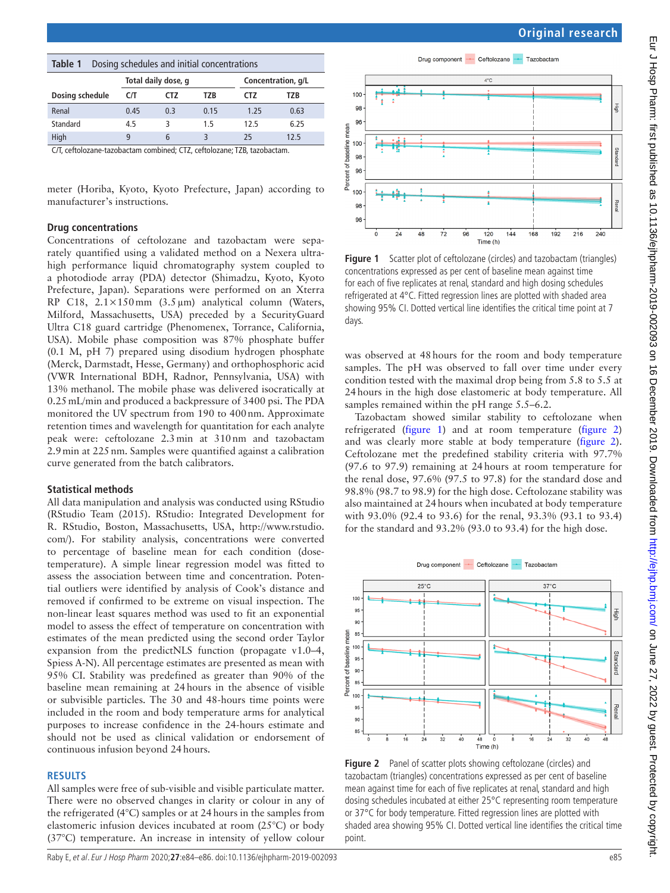<span id="page-1-0"></span>

| Dosing schedules and initial concentrations<br>Table 1 |                     |     |      |                    |      |  |
|--------------------------------------------------------|---------------------|-----|------|--------------------|------|--|
|                                                        | Total daily dose, q |     |      | Concentration, g/L |      |  |
| Dosing schedule                                        | C/T                 | CTZ | T7R  | CTZ.               | T7R  |  |
| Renal                                                  | 0.45                | 0.3 | 0.15 | 1.25               | 0.63 |  |
| Standard                                               | 4.5                 | κ   | 1.5  | 12.5               | 6.25 |  |
| High                                                   | q                   | 6   | ₹    | 25                 | 12.5 |  |

C/T, ceftolozane-tazobactam combined; CTZ, ceftolozane; TZB, tazobactam.

meter (Horiba, Kyoto, Kyoto Prefecture, Japan) according to manufacturer's instructions.

## **Drug concentrations**

Concentrations of ceftolozane and tazobactam were separately quantified using a validated method on a Nexera ultrahigh performance liquid chromatography system coupled to a photodiode array (PDA) detector (Shimadzu, Kyoto, Kyoto Prefecture, Japan). Separations were performed on an Xterra RP C18, 2.1×150mm (3.5µm) analytical column (Waters, Milford, Massachusetts, USA) preceded by a SecurityGuard Ultra C18 guard cartridge (Phenomenex, Torrance, California, USA). Mobile phase composition was 87% phosphate buffer (0.1 M, pH 7) prepared using disodium hydrogen phosphate (Merck, Darmstadt, Hesse, Germany) and orthophosphoric acid (VWR International BDH, Radnor, Pennsylvania, USA) with 13% methanol. The mobile phase was delivered isocratically at 0.25mL/min and produced a backpressure of 3400 psi. The PDA monitored the UV spectrum from 190 to 400nm. Approximate retention times and wavelength for quantitation for each analyte peak were: ceftolozane 2.3min at 310nm and tazobactam 2.9min at 225nm. Samples were quantified against a calibration curve generated from the batch calibrators.

#### **Statistical methods**

All data manipulation and analysis was conducted using RStudio (RStudio Team (2015). RStudio: Integrated Development for R. RStudio, Boston, Massachusetts, USA, [http://www.rstudio.](http://www.rstudio.com/) [com/\)](http://www.rstudio.com/). For stability analysis, concentrations were converted to percentage of baseline mean for each condition (dosetemperature). A simple linear regression model was fitted to assess the association between time and concentration. Potential outliers were identified by analysis of Cook's distance and removed if confirmed to be extreme on visual inspection. The non-linear least squares method was used to fit an exponential model to assess the effect of temperature on concentration with estimates of the mean predicted using the second order Taylor expansion from the predictNLS function (propagate v1.0–4, Spiess A-N). All percentage estimates are presented as mean with 95% CI. Stability was predefined as greater than 90% of the baseline mean remaining at 24hours in the absence of visible or subvisible particles. The 30 and 48-hours time points were included in the room and body temperature arms for analytical purposes to increase confidence in the 24-hours estimate and should not be used as clinical validation or endorsement of continuous infusion beyond 24hours.

#### **Results**

All samples were free of sub-visible and visible particulate matter. There were no observed changes in clarity or colour in any of the refrigerated (4°C) samples or at 24hours in the samples from elastomeric infusion devices incubated at room (25°C) or body (37°C) temperature. An increase in intensity of yellow colour



Drug component - Ceftolozane - Tazobactam

<span id="page-1-1"></span>**Figure 1** Scatter plot of ceftolozane (circles) and tazobactam (triangles) concentrations expressed as per cent of baseline mean against time for each of five replicates at renal, standard and high dosing schedules refrigerated at 4°C. Fitted regression lines are plotted with shaded area showing 95% CI. Dotted vertical line identifies the critical time point at 7 days.

was observed at 48hours for the room and body temperature samples. The pH was observed to fall over time under every condition tested with the maximal drop being from 5.8 to 5.5 at 24hours in the high dose elastomeric at body temperature. All samples remained within the pH range 5.5–6.2.

Tazobactam showed similar stability to ceftolozane when refrigerated [\(figure](#page-1-1) 1) and at room temperature [\(figure](#page-1-2) 2) and was clearly more stable at body temperature ([figure](#page-1-2) 2). Ceftolozane met the predefined stability criteria with 97.7% (97.6 to 97.9) remaining at 24hours at room temperature for the renal dose, 97.6% (97.5 to 97.8) for the standard dose and 98.8% (98.7 to 98.9) for the high dose. Ceftolozane stability was also maintained at 24hours when incubated at body temperature with 93.0% (92.4 to 93.6) for the renal, 93.3% (93.1 to 93.4) for the standard and 93.2% (93.0 to 93.4) for the high dose.



<span id="page-1-2"></span>